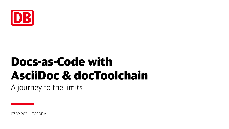

A journey to the limits

07.02.2021 | FOSDEM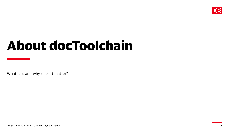

# About docToolchain

What it is and why does it matter?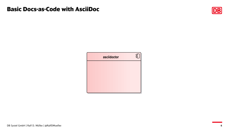

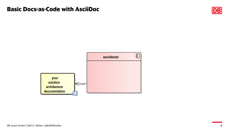

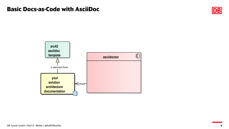

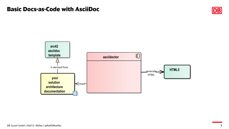

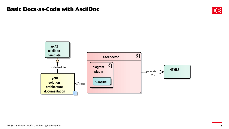

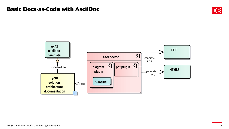

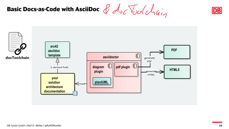



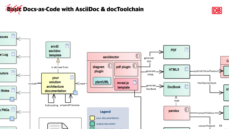

DB Systel GmbH | Ralf D. Müller | @RalfDMueller

P

ssues

e Log $\quad \blacksquare$ 

 $_{\textsf{outors}}$   $\blacksquare$ 

: Notes  $\quad \blacksquare$ 

 $\mathsf{n}$  PNGs  $\mathsf{B}$ 



and the company of the company of

**11**convertToEpub

DB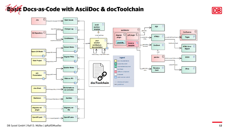



DB Systel GmbH | Ralf D. Müller | @RalfDMueller **12**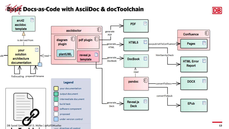

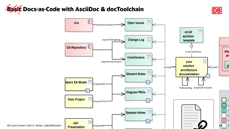

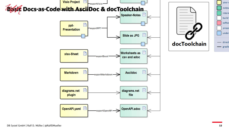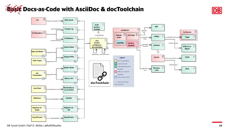



DB Systel GmbH | Ralf D. Müller | @RalfDMueller **16**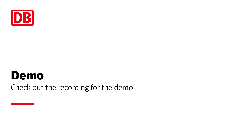

# Demo Check out the recording for the demo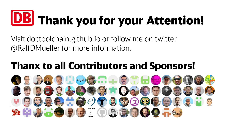# **UBJ Thank you for your Attention!**

Visit doctoolchain.github.io or follow me on twitter @RalfDMueller for more information.

# Thanx to all Contributors and Sponsors!